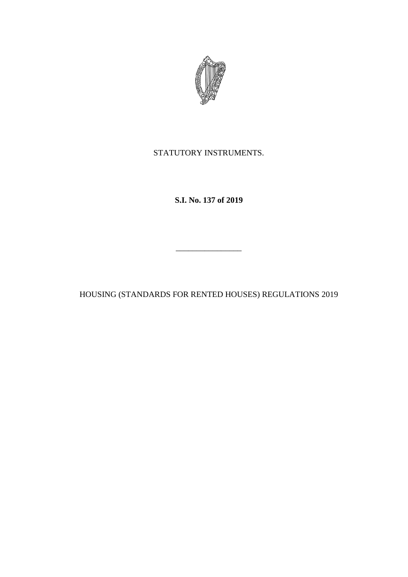

STATUTORY INSTRUMENTS.

**S.I. No. 137 of 2019**

HOUSING (STANDARDS FOR RENTED HOUSES) REGULATIONS 2019

\_\_\_\_\_\_\_\_\_\_\_\_\_\_\_\_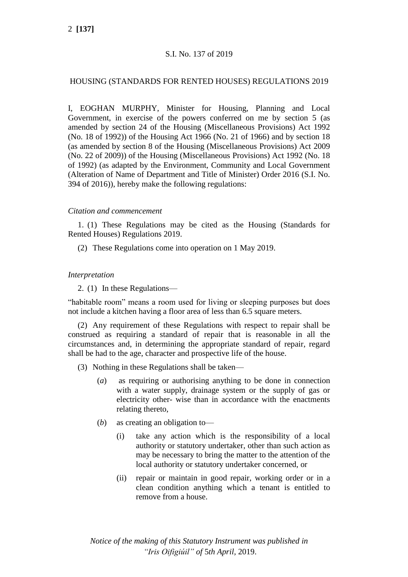# S.I. No. 137 of 2019

# HOUSING (STANDARDS FOR RENTED HOUSES) REGULATIONS 2019

I, EOGHAN MURPHY, Minister for Housing, Planning and Local Government, in exercise of the powers conferred on me by section 5 (as amended by section 24 of the Housing (Miscellaneous Provisions) Act 1992 (No. 18 of 1992)) of the Housing Act 1966 (No. 21 of 1966) and by section 18 (as amended by section 8 of the Housing (Miscellaneous Provisions) Act 2009 (No. 22 of 2009)) of the Housing (Miscellaneous Provisions) Act 1992 (No. 18 of 1992) (as adapted by the Environment, Community and Local Government (Alteration of Name of Department and Title of Minister) Order 2016 (S.I. No. 394 of 2016)), hereby make the following regulations:

## *Citation and commencement*

1. (1) These Regulations may be cited as the Housing (Standards for Rented Houses) Regulations 2019.

(2) These Regulations come into operation on 1 May 2019.

# *Interpretation*

2. (1) In these Regulations—

"habitable room" means a room used for living or sleeping purposes but does not include a kitchen having a floor area of less than 6.5 square meters.

(2) Any requirement of these Regulations with respect to repair shall be construed as requiring a standard of repair that is reasonable in all the circumstances and, in determining the appropriate standard of repair, regard shall be had to the age, character and prospective life of the house.

- (3) Nothing in these Regulations shall be taken—
	- (*a*) as requiring or authorising anything to be done in connection with a water supply, drainage system or the supply of gas or electricity other- wise than in accordance with the enactments relating thereto,
	- (*b*) as creating an obligation to—
		- (i) take any action which is the responsibility of a local authority or statutory undertaker, other than such action as may be necessary to bring the matter to the attention of the local authority or statutory undertaker concerned, or
		- (ii) repair or maintain in good repair, working order or in a clean condition anything which a tenant is entitled to remove from a house.

*Notice of the making of this Statutory Instrument was published in "Iris Oifigiúil" of* 5*th April,* 2019.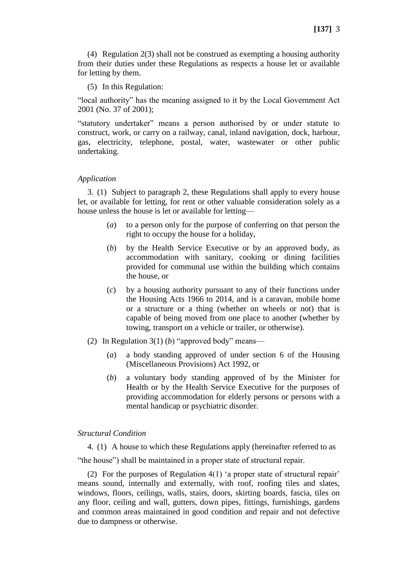(4) Regulation 2(3) shall not be construed as exempting a housing authority from their duties under these Regulations as respects a house let or available for letting by them.

### (5) In this Regulation:

"local authority" has the meaning assigned to it by the Local Government Act 2001 (No. 37 of 2001);

"statutory undertaker" means a person authorised by or under statute to construct, work, or carry on a railway, canal, inland navigation, dock, harbour, gas, electricity, telephone, postal, water, wastewater or other public undertaking.

### *Application*

3. (1) Subject to paragraph 2, these Regulations shall apply to every house let, or available for letting, for rent or other valuable consideration solely as a house unless the house is let or available for letting—

- (*a*) to a person only for the purpose of conferring on that person the right to occupy the house for a holiday,
- (*b*) by the Health Service Executive or by an approved body, as accommodation with sanitary, cooking or dining facilities provided for communal use within the building which contains the house, or
- (*c*) by a housing authority pursuant to any of their functions under the Housing Acts 1966 to 2014, and is a caravan, mobile home or a structure or a thing (whether on wheels or not) that is capable of being moved from one place to another (whether by towing, transport on a vehicle or trailer, or otherwise).
- (2) In Regulation 3(1) (*b*) "approved body" means—
	- (*a*) a body standing approved of under section 6 of the Housing (Miscellaneous Provisions) Act 1992, or
	- (*b*) a voluntary body standing approved of by the Minister for Health or by the Health Service Executive for the purposes of providing accommodation for elderly persons or persons with a mental handicap or psychiatric disorder.

### *Structural Condition*

4. (1) A house to which these Regulations apply (hereinafter referred to as "the house") shall be maintained in a proper state of structural repair.

(2) For the purposes of Regulation 4(1) 'a proper state of structural repair' means sound, internally and externally, with roof, roofing tiles and slates, windows, floors, ceilings, walls, stairs, doors, skirting boards, fascia, tiles on any floor, ceiling and wall, gutters, down pipes, fittings, furnishings, gardens and common areas maintained in good condition and repair and not defective due to dampness or otherwise.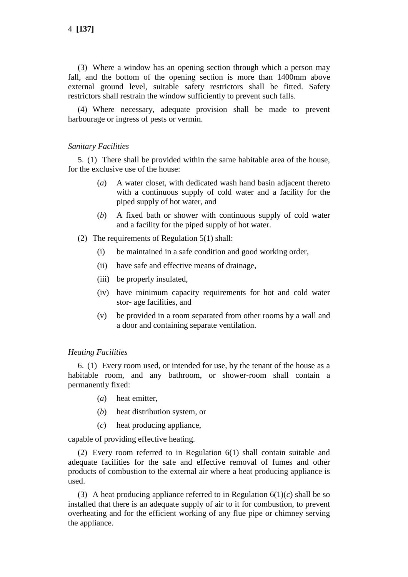(3) Where a window has an opening section through which a person may fall, and the bottom of the opening section is more than 1400mm above external ground level, suitable safety restrictors shall be fitted. Safety restrictors shall restrain the window sufficiently to prevent such falls.

(4) Where necessary, adequate provision shall be made to prevent harbourage or ingress of pests or vermin.

# *Sanitary Facilities*

5. (1) There shall be provided within the same habitable area of the house, for the exclusive use of the house:

- (*a*) A water closet, with dedicated wash hand basin adjacent thereto with a continuous supply of cold water and a facility for the piped supply of hot water, and
- (*b*) A fixed bath or shower with continuous supply of cold water and a facility for the piped supply of hot water.
- (2) The requirements of Regulation 5(1) shall:
	- (i) be maintained in a safe condition and good working order,
	- (ii) have safe and effective means of drainage,
	- (iii) be properly insulated,
	- (iv) have minimum capacity requirements for hot and cold water stor- age facilities, and
	- (v) be provided in a room separated from other rooms by a wall and a door and containing separate ventilation.

## *Heating Facilities*

6. (1) Every room used, or intended for use, by the tenant of the house as a habitable room, and any bathroom, or shower-room shall contain a permanently fixed:

- (*a*) heat emitter,
- (*b*) heat distribution system, or
- (*c*) heat producing appliance,

capable of providing effective heating.

(2) Every room referred to in Regulation 6(1) shall contain suitable and adequate facilities for the safe and effective removal of fumes and other products of combustion to the external air where a heat producing appliance is used.

(3) A heat producing appliance referred to in Regulation  $6(1)(c)$  shall be so installed that there is an adequate supply of air to it for combustion, to prevent overheating and for the efficient working of any flue pipe or chimney serving the appliance.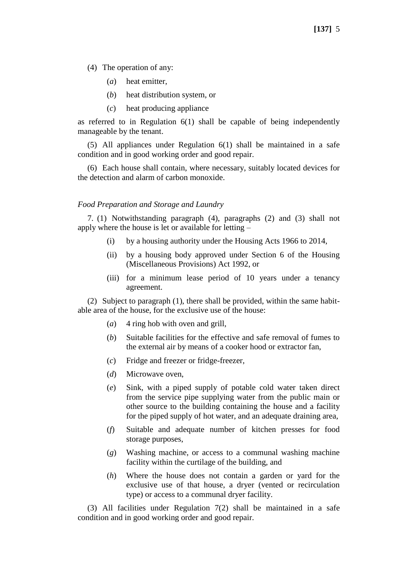(4) The operation of any:

- (*a*) heat emitter,
- (*b*) heat distribution system, or
- (*c*) heat producing appliance

as referred to in Regulation 6(1) shall be capable of being independently manageable by the tenant.

(5) All appliances under Regulation 6(1) shall be maintained in a safe condition and in good working order and good repair.

(6) Each house shall contain, where necessary, suitably located devices for the detection and alarm of carbon monoxide.

# *Food Preparation and Storage and Laundry*

7. (1) Notwithstanding paragraph (4), paragraphs (2) and (3) shall not apply where the house is let or available for letting –

- (i) by a housing authority under the Housing Acts 1966 to 2014,
- (ii) by a housing body approved under Section 6 of the Housing (Miscellaneous Provisions) Act 1992, or
- (iii) for a minimum lease period of 10 years under a tenancy agreement.

(2) Subject to paragraph (1), there shall be provided, within the same habitable area of the house, for the exclusive use of the house:

- (*a*) 4 ring hob with oven and grill,
- (*b*) Suitable facilities for the effective and safe removal of fumes to the external air by means of a cooker hood or extractor fan,
- (*c*) Fridge and freezer or fridge-freezer,
- (*d*) Microwave oven,
- (*e*) Sink, with a piped supply of potable cold water taken direct from the service pipe supplying water from the public main or other source to the building containing the house and a facility for the piped supply of hot water, and an adequate draining area,
- (*f*) Suitable and adequate number of kitchen presses for food storage purposes,
- (*g*) Washing machine, or access to a communal washing machine facility within the curtilage of the building, and
- (*h*) Where the house does not contain a garden or yard for the exclusive use of that house, a dryer (vented or recirculation type) or access to a communal dryer facility.

(3) All facilities under Regulation 7(2) shall be maintained in a safe condition and in good working order and good repair.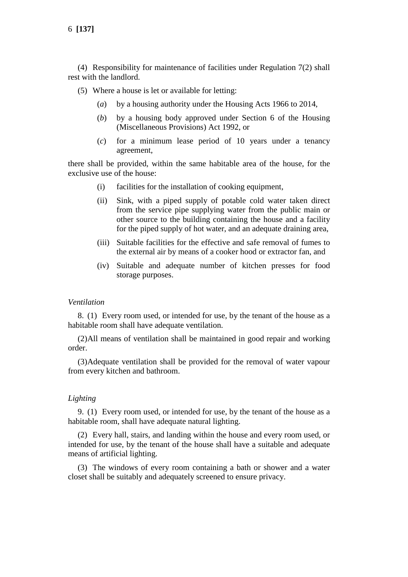6 **[137]**

(4) Responsibility for maintenance of facilities under Regulation 7(2) shall rest with the landlord.

(5) Where a house is let or available for letting:

- (*a*) by a housing authority under the Housing Acts 1966 to 2014,
- (*b*) by a housing body approved under Section 6 of the Housing (Miscellaneous Provisions) Act 1992, or
- (*c*) for a minimum lease period of 10 years under a tenancy agreement,

there shall be provided, within the same habitable area of the house, for the exclusive use of the house:

- (i) facilities for the installation of cooking equipment,
- (ii) Sink, with a piped supply of potable cold water taken direct from the service pipe supplying water from the public main or other source to the building containing the house and a facility for the piped supply of hot water, and an adequate draining area,
- (iii) Suitable facilities for the effective and safe removal of fumes to the external air by means of a cooker hood or extractor fan, and
- (iv) Suitable and adequate number of kitchen presses for food storage purposes.

#### *Ventilation*

8. (1) Every room used, or intended for use, by the tenant of the house as a habitable room shall have adequate ventilation.

(2)All means of ventilation shall be maintained in good repair and working order.

(3)Adequate ventilation shall be provided for the removal of water vapour from every kitchen and bathroom.

#### *Lighting*

9. (1) Every room used, or intended for use, by the tenant of the house as a habitable room, shall have adequate natural lighting.

(2) Every hall, stairs, and landing within the house and every room used, or intended for use, by the tenant of the house shall have a suitable and adequate means of artificial lighting.

(3) The windows of every room containing a bath or shower and a water closet shall be suitably and adequately screened to ensure privacy.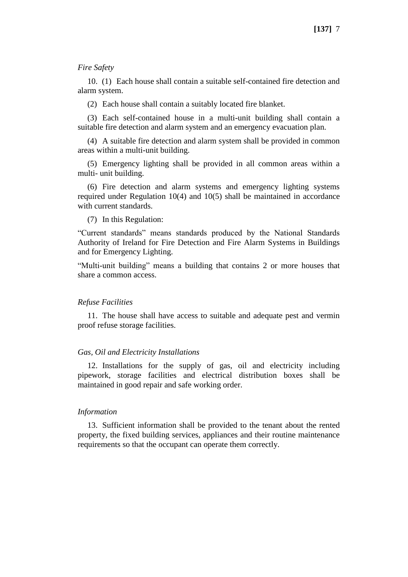# *Fire Safety*

10. (1) Each house shall contain a suitable self-contained fire detection and alarm system.

(2) Each house shall contain a suitably located fire blanket.

(3) Each self-contained house in a multi-unit building shall contain a suitable fire detection and alarm system and an emergency evacuation plan.

(4) A suitable fire detection and alarm system shall be provided in common areas within a multi-unit building.

(5) Emergency lighting shall be provided in all common areas within a multi- unit building.

(6) Fire detection and alarm systems and emergency lighting systems required under Regulation  $10(4)$  and  $10(5)$  shall be maintained in accordance with current standards.

(7) In this Regulation:

"Current standards" means standards produced by the National Standards Authority of Ireland for Fire Detection and Fire Alarm Systems in Buildings and for Emergency Lighting.

"Multi-unit building" means a building that contains 2 or more houses that share a common access.

#### *Refuse Facilities*

11. The house shall have access to suitable and adequate pest and vermin proof refuse storage facilities.

### *Gas, Oil and Electricity Installations*

12. Installations for the supply of gas, oil and electricity including pipework, storage facilities and electrical distribution boxes shall be maintained in good repair and safe working order.

## *Information*

13. Sufficient information shall be provided to the tenant about the rented property, the fixed building services, appliances and their routine maintenance requirements so that the occupant can operate them correctly.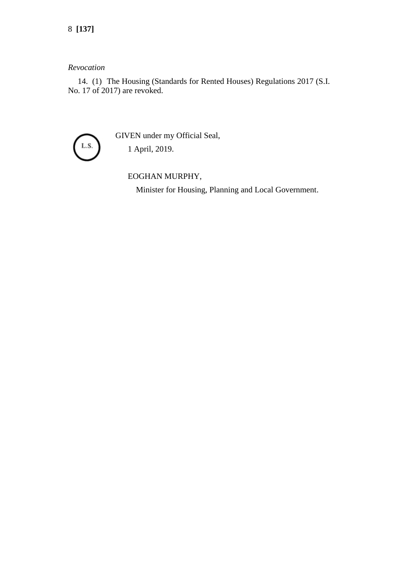# *Revocation*

14. (1) The Housing (Standards for Rented Houses) Regulations 2017 (S.I. No. 17 of 2017) are revoked.



GIVEN under my Official Seal, 1 April, 2019.

EOGHAN MURPHY,

Minister for Housing, Planning and Local Government.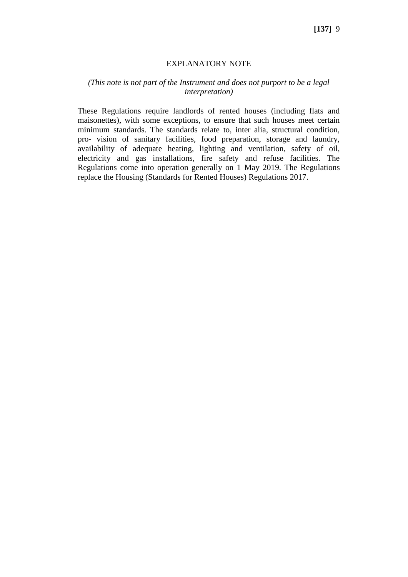# EXPLANATORY NOTE

# *(This note is not part of the Instrument and does not purport to be a legal interpretation)*

These Regulations require landlords of rented houses (including flats and maisonettes), with some exceptions, to ensure that such houses meet certain minimum standards. The standards relate to, inter alia, structural condition, pro- vision of sanitary facilities, food preparation, storage and laundry, availability of adequate heating, lighting and ventilation, safety of oil, electricity and gas installations, fire safety and refuse facilities. The Regulations come into operation generally on 1 May 2019. The Regulations replace the Housing (Standards for Rented Houses) Regulations 2017.